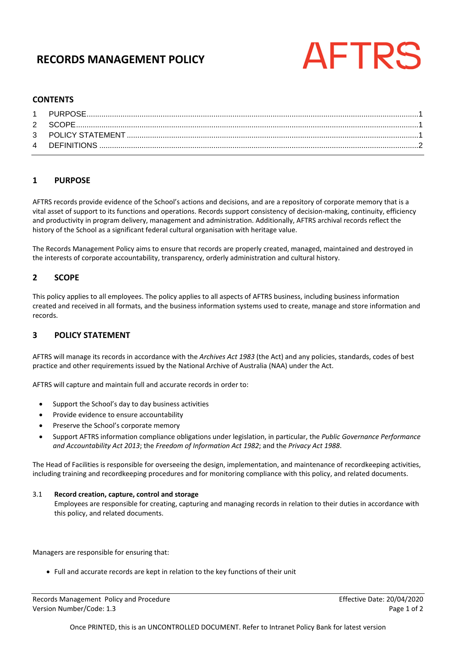# **RECORDS MANAGEMENT POLICY**



## **CONTENTS**

# <span id="page-0-0"></span>**1 PURPOSE**

AFTRS records provide evidence of the School's actions and decisions, and are a repository of corporate memory that is a vital asset of support to its functions and operations. Records support consistency of decision-making, continuity, efficiency and productivity in program delivery, management and administration. Additionally, AFTRS archival records reflect the history of the School as a significant federal cultural organisation with heritage value.

The Records Management Policy aims to ensure that records are properly created, managed, maintained and destroyed in the interests of corporate accountability, transparency, orderly administration and cultural history.

## <span id="page-0-1"></span>**2 SCOPE**

This policy applies to all employees. The policy applies to all aspects of AFTRS business, including business information created and received in all formats, and the business information systems used to create, manage and store information and records.

# <span id="page-0-2"></span>**3 POLICY STATEMENT**

AFTRS will manage its records in accordance with the *Archives Act 1983* (the Act) and any policies, standards, codes of best practice and other requirements issued by the National Archive of Australia (NAA) under the Act.

AFTRS will capture and maintain full and accurate records in order to:

- Support the School's day to day business activities
- Provide evidence to ensure accountability
- Preserve the School's corporate memory
- Support AFTRS information compliance obligations under legislation, in particular, the *Public Governance Performance and Accountability Act 2013*; the *Freedom of Information Act 1982*; and the *Privacy Act 1988*.

The Head of Facilities is responsible for overseeing the design, implementation, and maintenance of recordkeeping activities, including training and recordkeeping procedures and for monitoring compliance with this policy, and related documents.

#### 3.1 **Record creation, capture, control and storage**

Employees are responsible for creating, capturing and managing records in relation to their duties in accordance with this policy, and related documents.

Managers are responsible for ensuring that:

• Full and accurate records are kept in relation to the key functions of their unit